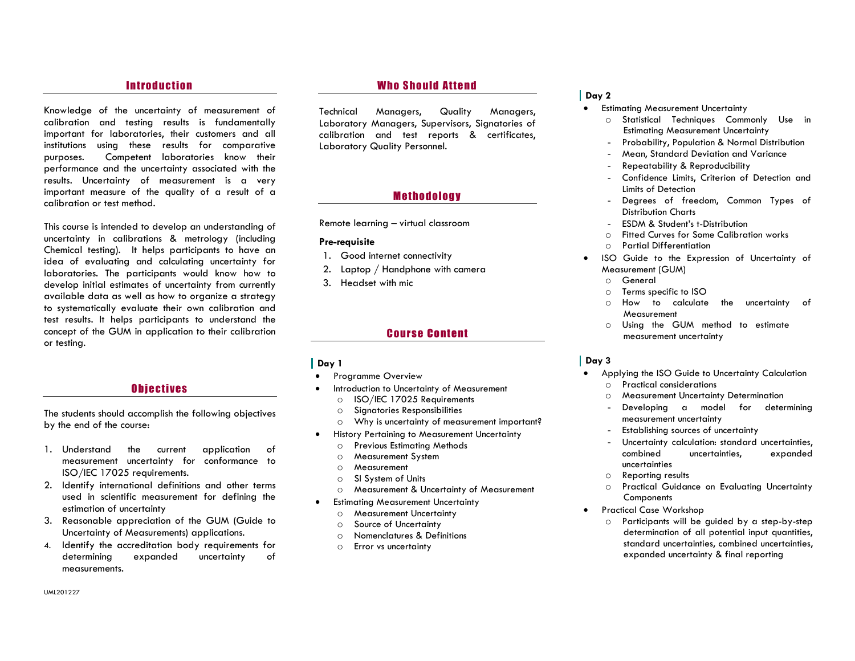## **Introduction**

Knowledge of the uncertainty of measurement of calibration and testing results is fundamentally important for laboratories, their customers and all institutions using these results for comparative purposes. Competent laboratories know their performance and the uncertainty associated with the results. Uncertainty of measurement is a very important measure of the quality of a result of a calibration or test method.

This course is intended to develop an understanding of uncertainty in calibrations & metrology (including Chemical testing). It helps participants to have an idea of evaluating and calculating uncertainty for laboratories. The participants would know how to develop initial estimates of uncertainty from currently available data as well as how to organize a strategy to systematically evaluate their own calibration and test results. It helps participants to understand the concept of the GUM in application to their calibration or testing.

#### O biectives

The students should accomplish the following objectives by the end of the course:

- 1. Understand the current application of measurement uncertainty for conformance to ISO/IEC 17025 requirements.
- 2. Identify international definitions and other terms used in scientific measurement for defining the estimation of uncertainty
- 3. Reasonable appreciation of the GUM (Guide to Uncertainty of Measurements) applications.
- 4. Identify the accreditation body requirements for determining expanded uncertainty of measurements.

## **Who Should Attend**

Technical Managers, Quality Managers, Laboratory Managers, Supervisors, Signatories of calibration and test reports & certificates, Laboratory Quality Personnel.

# **Methodology**

Remote learning – virtual classroom

#### Pre-requisite

- 1. Good internet connectivity
- 2. Laptop / Handphone with camera
- 3. Headset with mic

## **Course Content**

#### Day 1

- **•** Programme Overview
- Introduction to Uncertainty of Measurement
	- o ISO/IEC 17025 Requirements
	- o Signatories Responsibilities
	- o Why is uncertainty of measurement important?
- History Pertaining to Measurement Uncertainty
	- o Previous Estimating Methods
	- o Measurement System
	- o Measurement
	- o SI System of Units
	- o Measurement & Uncertainty of Measurement
- Estimating Measurement Uncertainty
	- o Measurement Uncertainty
	- o Source of Uncertainty
	- o Nomenclatures & Definitions
	- o Error vs uncertainty

## Day 2

- **•** Estimating Measurement Uncertainty
	- o Statistical Techniques Commonly Use in Estimating Measurement Uncertainty
	- Probability, Population & Normal Distribution
	- Mean, Standard Deviation and Variance
	- Repeatability & Reproducibility
	- Confidence Limits, Criterion of Detection and Limits of Detection
	- Degrees of freedom, Common Types of Distribution Charts
	- ESDM & Student's t-Distribution
	- o Fitted Curves for Some Calibration works
	- o Partial Differentiation
- ISO Guide to the Expression of Uncertainty of Measurement (GUM)
	- o General
	- o Terms specific to ISO
	- o How to calculate the uncertainty of Measurement
	- o Using the GUM method to estimate measurement uncertainty

#### Day 3

- Applying the ISO Guide to Uncertainty Calculation o Practical considerations
	- o Measurement Uncertainty Determination
	- Developing a model for determining measurement uncertainty
	- Establishing sources of uncertainty
	- Uncertainty calculation: standard uncertainties, combined uncertainties, expanded uncertainties
	- o Reporting results
	- o Practical Guidance on Evaluating Uncertainty **Components**
- **•** Practical Case Workshop
	- o Participants will be guided by a step-by-step determination of all potential input quantities, standard uncertainties, combined uncertainties, expanded uncertainty & final reporting